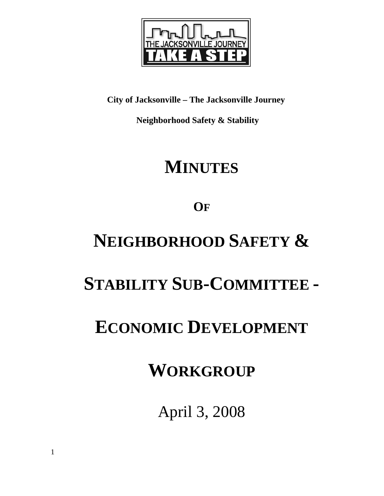

**City of Jacksonville – The Jacksonville Journey** 

 **Neighborhood Safety & Stability** 

# **MINUTES**

**OF**

# **NEIGHBORHOOD SAFETY &**

## **STABILITY SUB-COMMITTEE -**

## **ECONOMIC DEVELOPMENT**

## **WORKGROUP**

April 3, 2008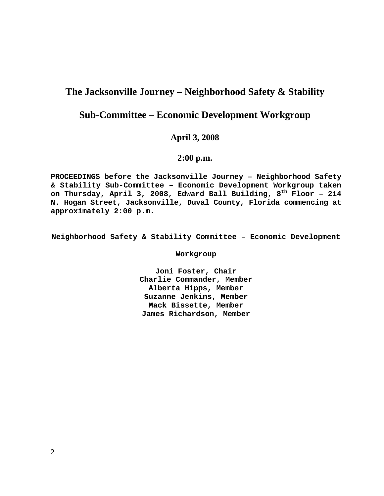## **The Jacksonville Journey – Neighborhood Safety & Stability**

## **Sub-Committee – Economic Development Workgroup**

### **April 3, 2008**

### **2:00 p.m.**

**PROCEEDINGS before the Jacksonville Journey – Neighborhood Safety & Stability Sub-Committee – Economic Development Workgroup taken on Thursday, April 3, 2008, Edward Ball Building, 8th Floor – 214 N. Hogan Street, Jacksonville, Duval County, Florida commencing at approximately 2:00 p.m.** 

**Neighborhood Safety & Stability Committee – Economic Development** 

**Workgroup** 

**Joni Foster, Chair Charlie Commander, Member Alberta Hipps, Member Suzanne Jenkins, Member Mack Bissette, Member James Richardson, Member**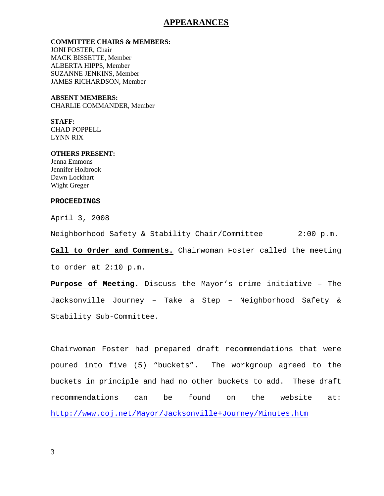#### **APPEARANCES**

#### **COMMITTEE CHAIRS & MEMBERS:**

JONI FOSTER, Chair MACK BISSETTE, Member ALBERTA HIPPS, Member SUZANNE JENKINS, Member JAMES RICHARDSON, Member

#### **ABSENT MEMBERS:**

CHARLIE COMMANDER, Member

**STAFF:**  CHAD POPPELL LYNN RIX

#### **OTHERS PRESENT:**

Jenna Emmons Jennifer Holbrook Dawn Lockhart Wight Greger

#### **PROCEEDINGS**

April 3, 2008

Neighborhood Safety & Stability Chair/Committee 2:00 p.m.

**Call to Order and Comments.** Chairwoman Foster called the meeting to order at 2:10 p.m.

**Purpose of Meeting.** Discuss the Mayor's crime initiative – The Jacksonville Journey – Take a Step – Neighborhood Safety & Stability Sub-Committee.

Chairwoman Foster had prepared draft recommendations that were poured into five (5) "buckets". The workgroup agreed to the buckets in principle and had no other buckets to add. These draft recommendations can be found on the website at: http://www.coj.net/Mayor/Jacksonville+Journey/Minutes.htm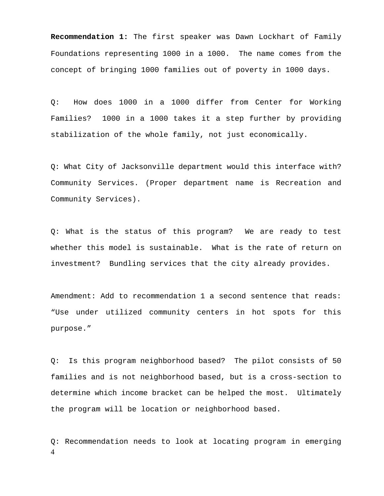**Recommendation 1:** The first speaker was Dawn Lockhart of Family Foundations representing 1000 in a 1000. The name comes from the concept of bringing 1000 families out of poverty in 1000 days.

Q: How does 1000 in a 1000 differ from Center for Working Families? 1000 in a 1000 takes it a step further by providing stabilization of the whole family, not just economically.

Q: What City of Jacksonville department would this interface with? Community Services. (Proper department name is Recreation and Community Services).

Q: What is the status of this program? We are ready to test whether this model is sustainable. What is the rate of return on investment? Bundling services that the city already provides.

Amendment: Add to recommendation 1 a second sentence that reads: "Use under utilized community centers in hot spots for this purpose."

Q: Is this program neighborhood based? The pilot consists of 50 families and is not neighborhood based, but is a cross-section to determine which income bracket can be helped the most. Ultimately the program will be location or neighborhood based.

4 Q: Recommendation needs to look at locating program in emerging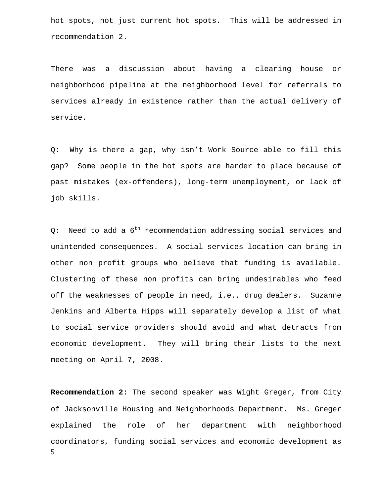hot spots, not just current hot spots. This will be addressed in recommendation 2.

There was a discussion about having a clearing house or neighborhood pipeline at the neighborhood level for referrals to services already in existence rather than the actual delivery of service.

Q: Why is there a gap, why isn't Work Source able to fill this gap? Some people in the hot spots are harder to place because of past mistakes (ex-offenders), long-term unemployment, or lack of job skills.

Q: Need to add a  $6^{th}$  recommendation addressing social services and unintended consequences. A social services location can bring in other non profit groups who believe that funding is available. Clustering of these non profits can bring undesirables who feed off the weaknesses of people in need, i.e., drug dealers. Suzanne Jenkins and Alberta Hipps will separately develop a list of what to social service providers should avoid and what detracts from economic development. They will bring their lists to the next meeting on April 7, 2008.

5 **Recommendation 2:** The second speaker was Wight Greger, from City of Jacksonville Housing and Neighborhoods Department. Ms. Greger explained the role of her department with neighborhood coordinators, funding social services and economic development as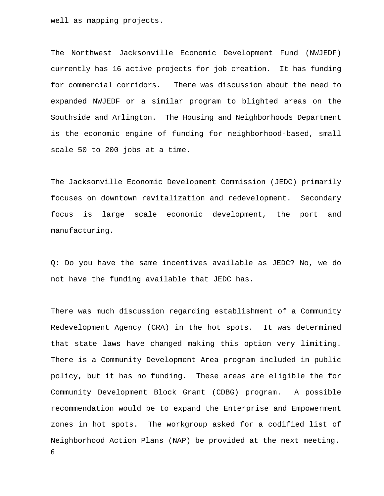well as mapping projects.

The Northwest Jacksonville Economic Development Fund (NWJEDF) currently has 16 active projects for job creation. It has funding for commercial corridors. There was discussion about the need to expanded NWJEDF or a similar program to blighted areas on the Southside and Arlington. The Housing and Neighborhoods Department is the economic engine of funding for neighborhood-based, small scale 50 to 200 jobs at a time.

The Jacksonville Economic Development Commission (JEDC) primarily focuses on downtown revitalization and redevelopment. Secondary focus is large scale economic development, the port and manufacturing.

Q: Do you have the same incentives available as JEDC? No, we do not have the funding available that JEDC has.

6 There was much discussion regarding establishment of a Community Redevelopment Agency (CRA) in the hot spots. It was determined that state laws have changed making this option very limiting. There is a Community Development Area program included in public policy, but it has no funding. These areas are eligible the for Community Development Block Grant (CDBG) program. A possible recommendation would be to expand the Enterprise and Empowerment zones in hot spots. The workgroup asked for a codified list of Neighborhood Action Plans (NAP) be provided at the next meeting.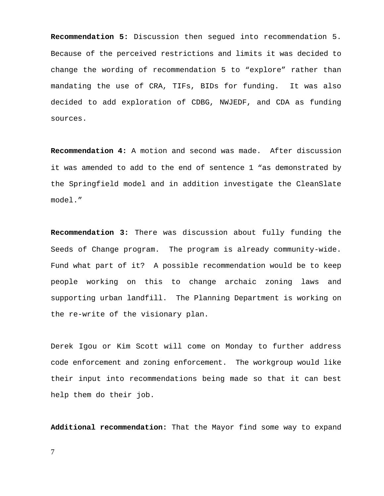**Recommendation 5:** Discussion then segued into recommendation 5. Because of the perceived restrictions and limits it was decided to change the wording of recommendation 5 to "explore" rather than mandating the use of CRA, TIFs, BIDs for funding. It was also decided to add exploration of CDBG, NWJEDF, and CDA as funding sources.

**Recommendation 4:** A motion and second was made. After discussion it was amended to add to the end of sentence 1 "as demonstrated by the Springfield model and in addition investigate the CleanSlate model."

**Recommendation 3:** There was discussion about fully funding the Seeds of Change program. The program is already community-wide. Fund what part of it? A possible recommendation would be to keep people working on this to change archaic zoning laws and supporting urban landfill. The Planning Department is working on the re-write of the visionary plan.

Derek Igou or Kim Scott will come on Monday to further address code enforcement and zoning enforcement. The workgroup would like their input into recommendations being made so that it can best help them do their job.

**Additional recommendation:** That the Mayor find some way to expand

7